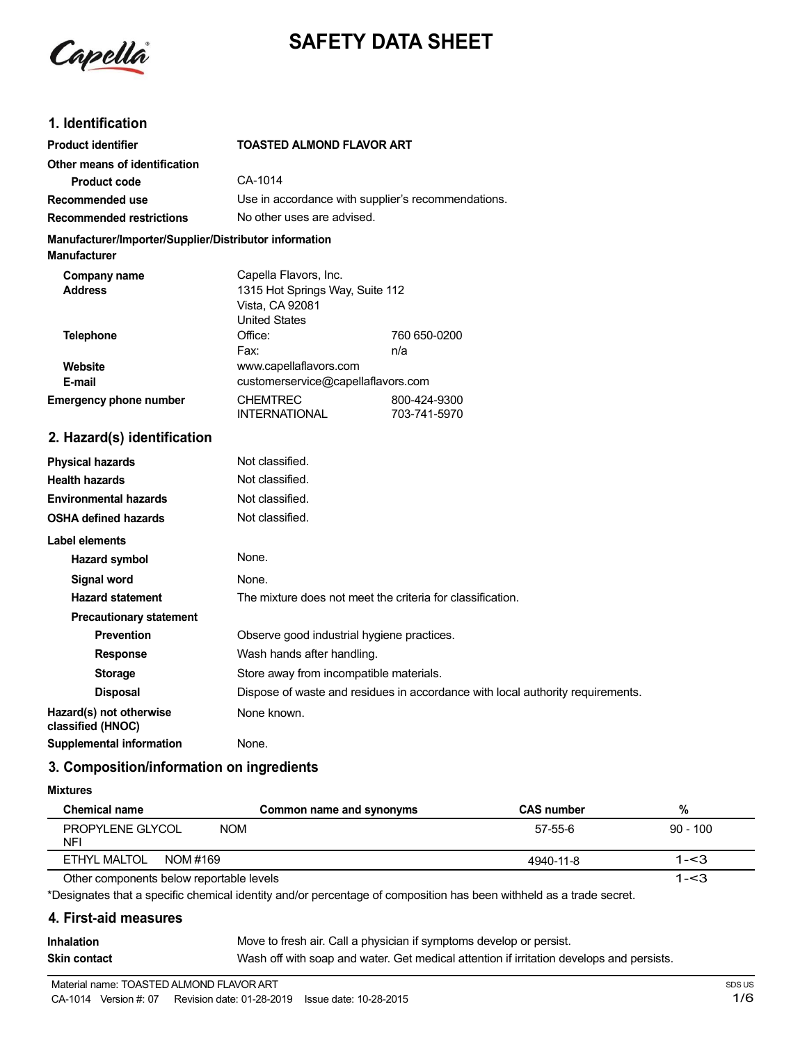

# **SAFETY DATA SHEET**

## **1. Identification**

| <b>Product identifier</b>                                                     | <b>TOASTED ALMOND FLAVOR ART</b>                                                                    |                              |  |  |
|-------------------------------------------------------------------------------|-----------------------------------------------------------------------------------------------------|------------------------------|--|--|
| Other means of identification                                                 |                                                                                                     |                              |  |  |
| <b>Product code</b>                                                           | CA-1014                                                                                             |                              |  |  |
| Recommended use                                                               | Use in accordance with supplier's recommendations.                                                  |                              |  |  |
| <b>Recommended restrictions</b>                                               | No other uses are advised.                                                                          |                              |  |  |
| Manufacturer/Importer/Supplier/Distributor information<br><b>Manufacturer</b> |                                                                                                     |                              |  |  |
| Company name<br><b>Address</b>                                                | Capella Flavors, Inc.<br>1315 Hot Springs Way, Suite 112<br>Vista, CA 92081<br><b>United States</b> |                              |  |  |
| <b>Telephone</b>                                                              | Office:<br>Fax:                                                                                     | 760 650-0200<br>n/a          |  |  |
| Website<br>E-mail                                                             | www.capellaflavors.com<br>customerservice@capellaflavors.com                                        |                              |  |  |
| <b>Emergency phone number</b>                                                 | <b>CHEMTREC</b><br><b>INTERNATIONAL</b>                                                             | 800-424-9300<br>703-741-5970 |  |  |
| 2. Hazard(s) identification                                                   |                                                                                                     |                              |  |  |
| <b>Physical hazards</b>                                                       | Not classified.                                                                                     |                              |  |  |
| <b>Health hazards</b>                                                         | Not classified.                                                                                     |                              |  |  |
| <b>Environmental hazards</b>                                                  | Not classified.                                                                                     |                              |  |  |
| <b>OSHA defined hazards</b>                                                   | Not classified.                                                                                     |                              |  |  |
| Label elements                                                                |                                                                                                     |                              |  |  |

| <b>Label elements</b>                        |                                                                                |
|----------------------------------------------|--------------------------------------------------------------------------------|
| Hazard symbol                                | None.                                                                          |
| Signal word                                  | None.                                                                          |
| <b>Hazard statement</b>                      | The mixture does not meet the criteria for classification.                     |
| <b>Precautionary statement</b>               |                                                                                |
| <b>Prevention</b>                            | Observe good industrial hygiene practices.                                     |
| <b>Response</b>                              | Wash hands after handling.                                                     |
| <b>Storage</b>                               | Store away from incompatible materials.                                        |
| <b>Disposal</b>                              | Dispose of waste and residues in accordance with local authority requirements. |
| Hazard(s) not otherwise<br>classified (HNOC) | None known.                                                                    |
| Supplemental information                     | None.                                                                          |

## **3. Composition/information on ingredients**

#### **Mixtures**

| <b>Chemical name</b><br>Common name and synonyms | <b>CAS number</b> | %          |
|--------------------------------------------------|-------------------|------------|
| PROPYLENE GLYCOL<br>NOM<br><b>NFI</b>            | 57-55-6           | $90 - 100$ |
| ETHYL MALTOL<br>NOM #169                         | 4940-11-8         | $1 - 3$    |
| Other components below reportable levels         |                   | $1 - 3$    |

Other components below reportable levels

\*Designates that a specific chemical identity and/or percentage of composition has been withheld as a trade secret.

### **4. First-aid measures**

| <b>Inhalation</b> | Move to fresh air. Call a physician if symptoms develop or persist.                      |
|-------------------|------------------------------------------------------------------------------------------|
| Skin contact      | Wash off with soap and water. Get medical attention if irritation develops and persists. |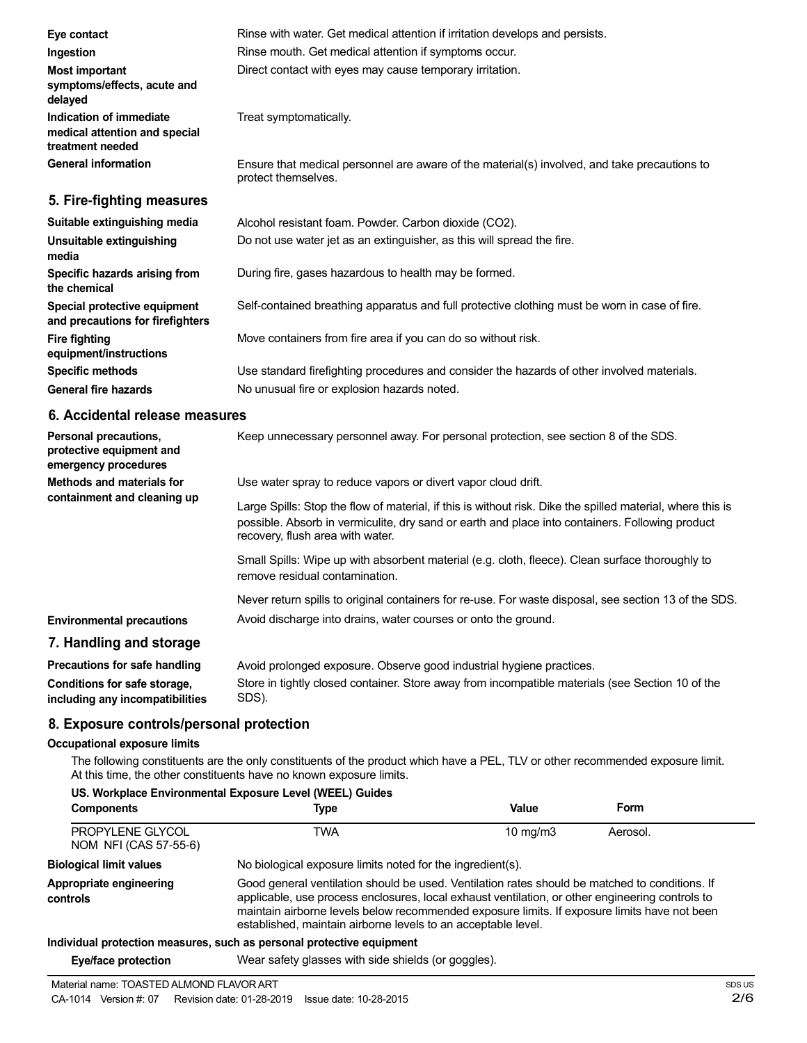| Eye contact                                                                  | Rinse with water. Get medical attention if irritation develops and persists.                                        |
|------------------------------------------------------------------------------|---------------------------------------------------------------------------------------------------------------------|
| Ingestion                                                                    | Rinse mouth. Get medical attention if symptoms occur.                                                               |
| Most important<br>symptoms/effects, acute and<br>delayed                     | Direct contact with eyes may cause temporary irritation.                                                            |
| Indication of immediate<br>medical attention and special<br>treatment needed | Treat symptomatically.                                                                                              |
| <b>General information</b>                                                   | Ensure that medical personnel are aware of the material(s) involved, and take precautions to<br>protect themselves. |
| 5. Fire-fighting measures                                                    |                                                                                                                     |
| Suitable extinguishing media                                                 | Alcohol resistant foam. Powder. Carbon dioxide (CO2).                                                               |
| Unsuitable extinguishing<br>media                                            | Do not use water jet as an extinguisher, as this will spread the fire.                                              |
| Specific hazards arising from<br>the chemical                                | During fire, gases hazardous to health may be formed.                                                               |
| Special protective equipment<br>and precautions for firefighters             | Self-contained breathing apparatus and full protective clothing must be worn in case of fire.                       |
| <b>Fire fighting</b><br>equipment/instructions                               | Move containers from fire area if you can do so without risk.                                                       |
| <b>Specific methods</b>                                                      | Use standard firefighting procedures and consider the hazards of other involved materials.                          |
| <b>General fire hazards</b>                                                  | No unusual fire or explosion hazards noted.                                                                         |

## **6. Accidental release measures**

| Personal precautions,<br>protective equipment and<br>emergency procedures | Keep unnecessary personnel away. For personal protection, see section 8 of the SDS.                                                                                                                                                               |
|---------------------------------------------------------------------------|---------------------------------------------------------------------------------------------------------------------------------------------------------------------------------------------------------------------------------------------------|
| Methods and materials for<br>containment and cleaning up                  | Use water spray to reduce vapors or divert vapor cloud drift.                                                                                                                                                                                     |
|                                                                           | Large Spills: Stop the flow of material, if this is without risk. Dike the spilled material, where this is<br>possible. Absorb in vermiculite, dry sand or earth and place into containers. Following product<br>recovery, flush area with water. |
|                                                                           | Small Spills: Wipe up with absorbent material (e.g. cloth, fleece). Clean surface thoroughly to<br>remove residual contamination.                                                                                                                 |
|                                                                           | Never return spills to original containers for re-use. For waste disposal, see section 13 of the SDS.                                                                                                                                             |
| <b>Environmental precautions</b>                                          | Avoid discharge into drains, water courses or onto the ground.                                                                                                                                                                                    |
| 7. Handling and storage                                                   |                                                                                                                                                                                                                                                   |
| Precautions for safe handling                                             | Avoid prolonged exposure. Observe good industrial hygiene practices.                                                                                                                                                                              |
| Conditions for safe storage,                                              | Store in tightly closed container. Store away from incompatible materials (see Section 10 of the                                                                                                                                                  |

**including any incompatibilities** SDS).

### **8. Exposure controls/personal protection**

#### **Occupational exposure limits**

The following constituents are the only constituents of the product which have a PEL, TLV or other recommended exposure limit. At this time, the other constituents have no known exposure limits.

| US. Workplace Environmental Exposure Level (WEEL) Guides<br><b>Components</b><br>Value<br>Form<br>Type |                                                                                                                                                                                                                                                                                                                                                                    |                   |          |
|--------------------------------------------------------------------------------------------------------|--------------------------------------------------------------------------------------------------------------------------------------------------------------------------------------------------------------------------------------------------------------------------------------------------------------------------------------------------------------------|-------------------|----------|
| PROPYLENE GLYCOL<br>NOM NFI (CAS 57-55-6)                                                              | TWA                                                                                                                                                                                                                                                                                                                                                                | $10 \text{ mg/m}$ | Aerosol. |
| <b>Biological limit values</b>                                                                         | No biological exposure limits noted for the ingredient(s).                                                                                                                                                                                                                                                                                                         |                   |          |
| Appropriate engineering<br>controls                                                                    | Good general ventilation should be used. Ventilation rates should be matched to conditions. If<br>applicable, use process enclosures, local exhaust ventilation, or other engineering controls to<br>maintain airborne levels below recommended exposure limits. If exposure limits have not been<br>established, maintain airborne levels to an acceptable level. |                   |          |
|                                                                                                        | Individual protection measures, such as nersonal protective equipment                                                                                                                                                                                                                                                                                              |                   |          |

#### **Individual protection measures, such as personal protective equipment**

**Eye/face protection** Wear safety glasses with side shields (or goggles).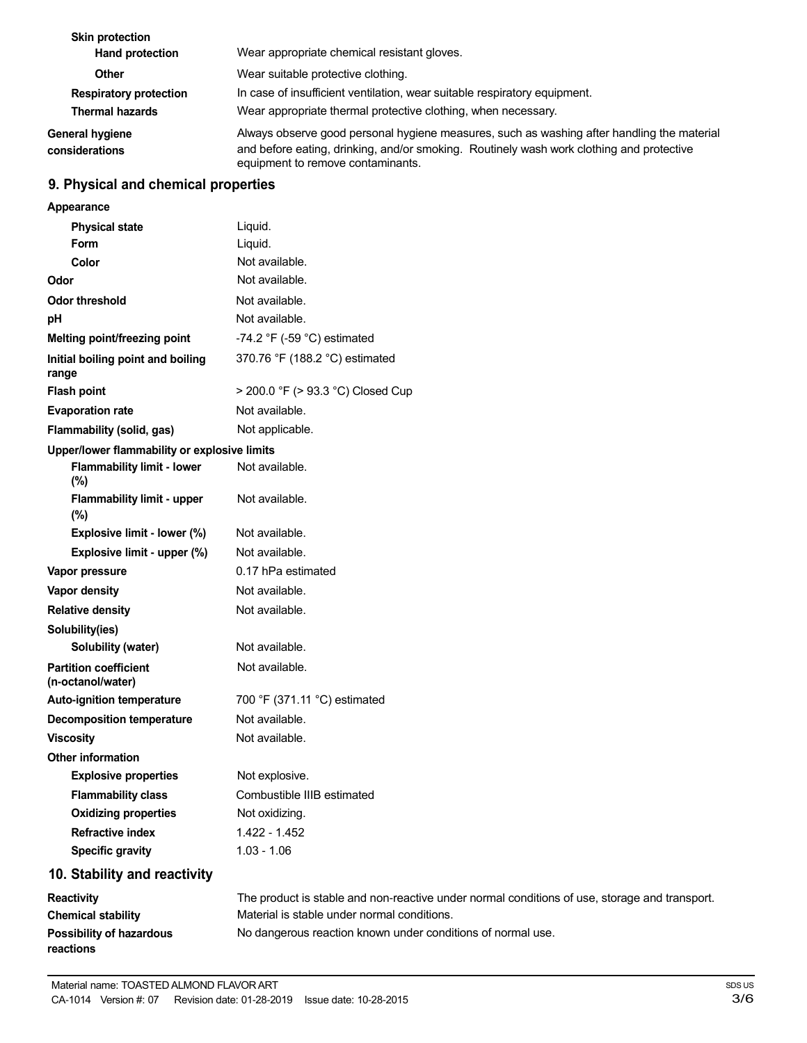| <b>Skin protection</b><br>Hand protection               | Wear appropriate chemical resistant gloves.                                                                                                                                                                                 |
|---------------------------------------------------------|-----------------------------------------------------------------------------------------------------------------------------------------------------------------------------------------------------------------------------|
| <b>Other</b>                                            | Wear suitable protective clothing.                                                                                                                                                                                          |
| <b>Respiratory protection</b><br><b>Thermal hazards</b> | In case of insufficient ventilation, wear suitable respiratory equipment.<br>Wear appropriate thermal protective clothing, when necessary.                                                                                  |
| <b>General hygiene</b><br>considerations                | Always observe good personal hygiene measures, such as washing after handling the material<br>and before eating, drinking, and/or smoking. Routinely wash work clothing and protective<br>equipment to remove contaminants. |

## **9. Physical and chemical properties**

| Appearance                                        |                                                                                               |
|---------------------------------------------------|-----------------------------------------------------------------------------------------------|
| <b>Physical state</b>                             | Liquid.                                                                                       |
| Form                                              | Liquid.                                                                                       |
| Color                                             | Not available.                                                                                |
| Odor                                              | Not available.                                                                                |
| <b>Odor threshold</b>                             | Not available.                                                                                |
| pH                                                | Not available.                                                                                |
| Melting point/freezing point                      | -74.2 $\degree$ F (-59 $\degree$ C) estimated                                                 |
| Initial boiling point and boiling<br>range        | 370.76 °F (188.2 °C) estimated                                                                |
| <b>Flash point</b>                                | > 200.0 °F (> 93.3 °C) Closed Cup                                                             |
| <b>Evaporation rate</b>                           | Not available.                                                                                |
| Flammability (solid, gas)                         | Not applicable.                                                                               |
| Upper/lower flammability or explosive limits      |                                                                                               |
| <b>Flammability limit - lower</b><br>(%)          | Not available.                                                                                |
| <b>Flammability limit - upper</b><br>(%)          | Not available.                                                                                |
| Explosive limit - lower (%)                       | Not available.                                                                                |
| Explosive limit - upper (%)                       | Not available.                                                                                |
| Vapor pressure                                    | 0.17 hPa estimated                                                                            |
| Vapor density                                     | Not available.                                                                                |
| <b>Relative density</b>                           | Not available.                                                                                |
| Solubility(ies)                                   |                                                                                               |
| Solubility (water)                                | Not available.                                                                                |
| <b>Partition coefficient</b><br>(n-octanol/water) | Not available.                                                                                |
| <b>Auto-ignition temperature</b>                  | 700 °F (371.11 °C) estimated                                                                  |
| <b>Decomposition temperature</b>                  | Not available.                                                                                |
| <b>Viscosity</b>                                  | Not available.                                                                                |
| <b>Other information</b>                          |                                                                                               |
| <b>Explosive properties</b>                       | Not explosive.                                                                                |
| <b>Flammability class</b>                         | Combustible IIIB estimated                                                                    |
| <b>Oxidizing properties</b>                       | Not oxidizing.                                                                                |
| <b>Refractive index</b>                           | 1.422 - 1.452                                                                                 |
| <b>Specific gravity</b>                           | $1.03 - 1.06$                                                                                 |
| 10. Stability and reactivity                      |                                                                                               |
| Reactivity                                        | The product is stable and non-reactive under normal conditions of use, storage and transport. |
| <b>Chemical stability</b>                         | Material is stable under normal conditions.                                                   |
| <b>Possibility of hazardous</b><br>reactions      | No dangerous reaction known under conditions of normal use.                                   |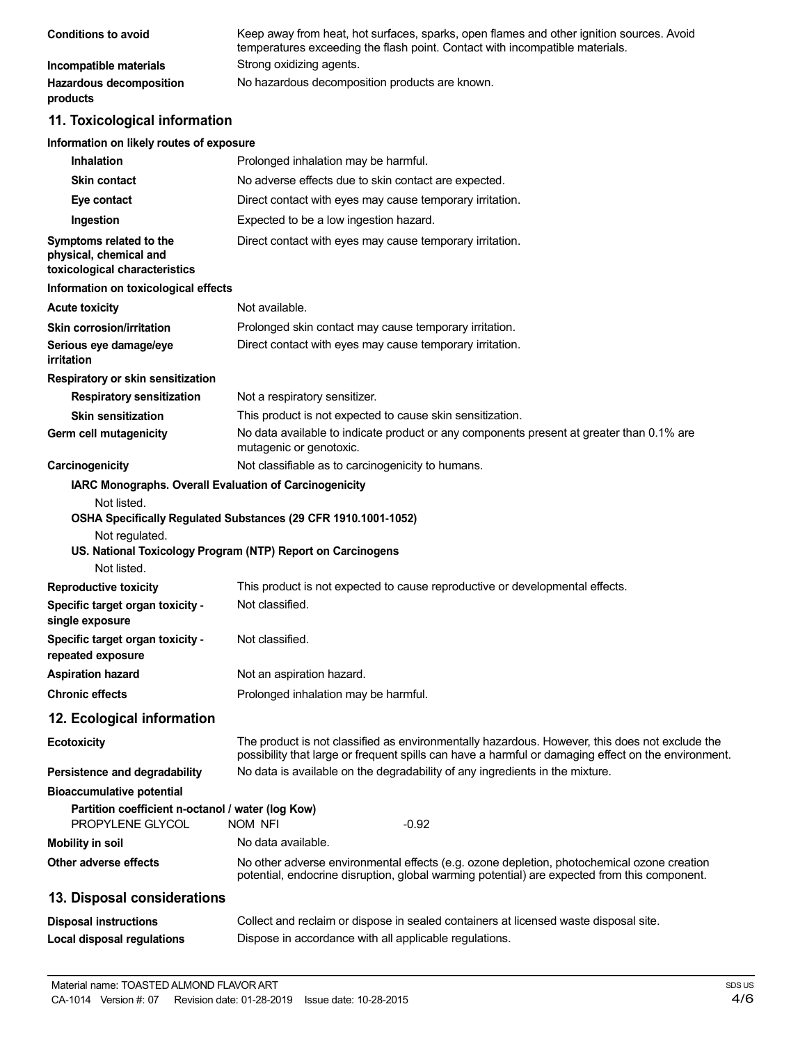| <b>Conditions to avoid</b>                 | Keep away from heat, hot surfaces, sparks, open flames and other ignition sources. Avoid<br>temperatures exceeding the flash point. Contact with incompatible materials. |
|--------------------------------------------|--------------------------------------------------------------------------------------------------------------------------------------------------------------------------|
| Incompatible materials                     | Strong oxidizing agents.                                                                                                                                                 |
| <b>Hazardous decomposition</b><br>products | No hazardous decomposition products are known.                                                                                                                           |

## **11. Toxicological information**

## **Information on likely routes of exposure**

| <b>Inhalation</b>                                                                     | Prolonged inhalation may be harmful.                                                                                                                                                                  |
|---------------------------------------------------------------------------------------|-------------------------------------------------------------------------------------------------------------------------------------------------------------------------------------------------------|
| <b>Skin contact</b>                                                                   | No adverse effects due to skin contact are expected.                                                                                                                                                  |
| Eye contact                                                                           | Direct contact with eyes may cause temporary irritation.                                                                                                                                              |
| Ingestion                                                                             | Expected to be a low ingestion hazard.                                                                                                                                                                |
| Symptoms related to the<br>physical, chemical and<br>toxicological characteristics    | Direct contact with eyes may cause temporary irritation.                                                                                                                                              |
| Information on toxicological effects                                                  |                                                                                                                                                                                                       |
| <b>Acute toxicity</b>                                                                 | Not available.                                                                                                                                                                                        |
| Skin corrosion/irritation                                                             | Prolonged skin contact may cause temporary irritation.                                                                                                                                                |
| Serious eye damage/eye<br>irritation                                                  | Direct contact with eyes may cause temporary irritation.                                                                                                                                              |
| Respiratory or skin sensitization                                                     |                                                                                                                                                                                                       |
| <b>Respiratory sensitization</b>                                                      | Not a respiratory sensitizer.                                                                                                                                                                         |
| <b>Skin sensitization</b>                                                             | This product is not expected to cause skin sensitization.                                                                                                                                             |
| Germ cell mutagenicity                                                                | No data available to indicate product or any components present at greater than 0.1% are<br>mutagenic or genotoxic.                                                                                   |
| Carcinogenicity                                                                       | Not classifiable as to carcinogenicity to humans.                                                                                                                                                     |
| IARC Monographs. Overall Evaluation of Carcinogenicity                                |                                                                                                                                                                                                       |
| Not regulated.<br>Not listed.                                                         | OSHA Specifically Regulated Substances (29 CFR 1910.1001-1052)<br>US. National Toxicology Program (NTP) Report on Carcinogens                                                                         |
| <b>Reproductive toxicity</b>                                                          | This product is not expected to cause reproductive or developmental effects.                                                                                                                          |
| Specific target organ toxicity -<br>single exposure                                   | Not classified.                                                                                                                                                                                       |
| Specific target organ toxicity -<br>repeated exposure                                 | Not classified.                                                                                                                                                                                       |
| <b>Aspiration hazard</b>                                                              | Not an aspiration hazard.                                                                                                                                                                             |
| <b>Chronic effects</b>                                                                | Prolonged inhalation may be harmful.                                                                                                                                                                  |
| 12. Ecological information                                                            |                                                                                                                                                                                                       |
| <b>Ecotoxicity</b>                                                                    | The product is not classified as environmentally hazardous. However, this does not exclude the<br>possibility that large or frequent spills can have a harmful or damaging effect on the environment. |
| Persistence and degradability                                                         | No data is available on the degradability of any ingredients in the mixture.                                                                                                                          |
| <b>Bioaccumulative potential</b><br>Partition coefficient n-octanol / water (log Kow) |                                                                                                                                                                                                       |
| PROPYLENE GLYCOL                                                                      | nom nfi<br>$-0.92$                                                                                                                                                                                    |
| <b>Mobility in soil</b>                                                               | No data available.                                                                                                                                                                                    |
| <b>Other adverse effects</b>                                                          | No other adverse environmental effects (e.g. ozone depletion, photochemical ozone creation<br>potential, endocrine disruption, global warming potential) are expected from this component.            |
| 13. Disposal considerations                                                           |                                                                                                                                                                                                       |
| <b>Disposal instructions</b>                                                          | Collect and reclaim or dispose in sealed containers at licensed waste disposal site.                                                                                                                  |
| <b>Local disposal regulations</b>                                                     | Dispose in accordance with all applicable regulations.                                                                                                                                                |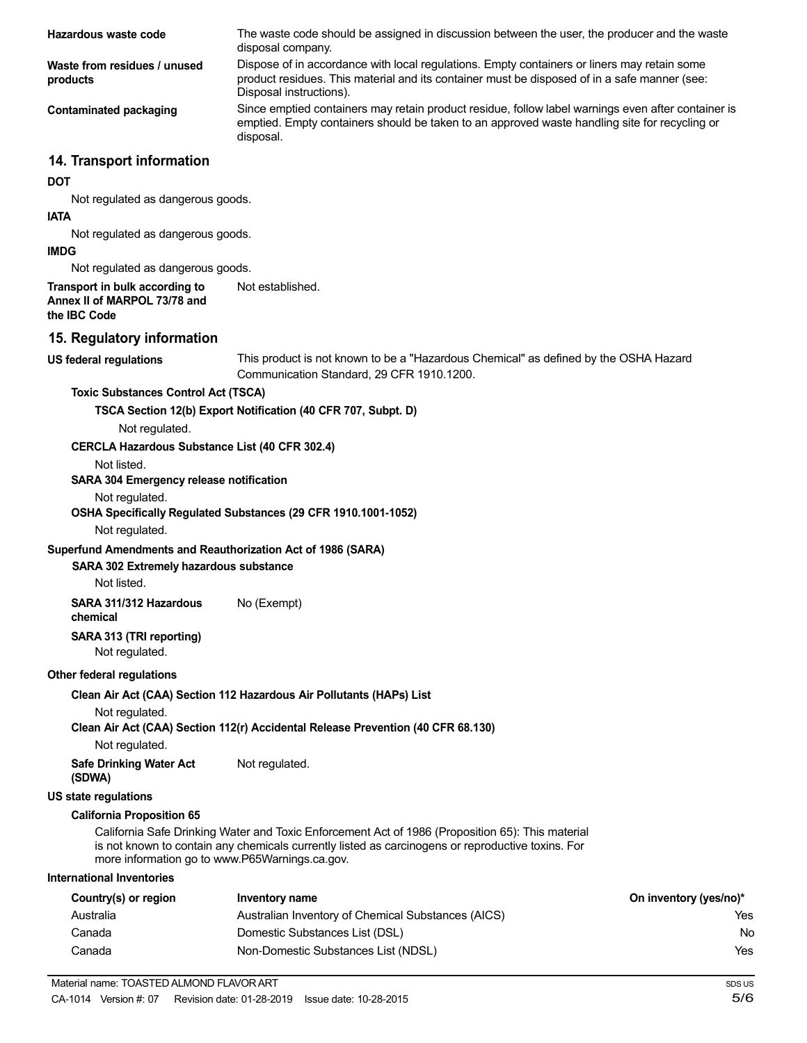| Hazardous waste code                                                           | The waste code should be assigned in discussion between the user, the producer and the waste<br>disposal company.                                                                                                      |                        |
|--------------------------------------------------------------------------------|------------------------------------------------------------------------------------------------------------------------------------------------------------------------------------------------------------------------|------------------------|
| Waste from residues / unused<br>products                                       | Dispose of in accordance with local regulations. Empty containers or liners may retain some<br>product residues. This material and its container must be disposed of in a safe manner (see:<br>Disposal instructions). |                        |
| <b>Contaminated packaging</b>                                                  | Since emptied containers may retain product residue, follow label warnings even after container is<br>emptied. Empty containers should be taken to an approved waste handling site for recycling or<br>disposal.       |                        |
| 14. Transport information                                                      |                                                                                                                                                                                                                        |                        |
| <b>DOT</b>                                                                     |                                                                                                                                                                                                                        |                        |
| Not regulated as dangerous goods.                                              |                                                                                                                                                                                                                        |                        |
| <b>IATA</b>                                                                    |                                                                                                                                                                                                                        |                        |
| Not regulated as dangerous goods.<br><b>IMDG</b>                               |                                                                                                                                                                                                                        |                        |
|                                                                                |                                                                                                                                                                                                                        |                        |
| Not regulated as dangerous goods.                                              |                                                                                                                                                                                                                        |                        |
| Transport in bulk according to<br>Annex II of MARPOL 73/78 and<br>the IBC Code | Not established.                                                                                                                                                                                                       |                        |
| 15. Regulatory information                                                     |                                                                                                                                                                                                                        |                        |
| <b>US federal regulations</b>                                                  | This product is not known to be a "Hazardous Chemical" as defined by the OSHA Hazard<br>Communication Standard, 29 CFR 1910.1200.                                                                                      |                        |
| <b>Toxic Substances Control Act (TSCA)</b>                                     |                                                                                                                                                                                                                        |                        |
|                                                                                | TSCA Section 12(b) Export Notification (40 CFR 707, Subpt. D)                                                                                                                                                          |                        |
| Not regulated.                                                                 |                                                                                                                                                                                                                        |                        |
| <b>CERCLA Hazardous Substance List (40 CFR 302.4)</b>                          |                                                                                                                                                                                                                        |                        |
| Not listed.                                                                    |                                                                                                                                                                                                                        |                        |
| SARA 304 Emergency release notification                                        |                                                                                                                                                                                                                        |                        |
| Not regulated.                                                                 | OSHA Specifically Regulated Substances (29 CFR 1910.1001-1052)                                                                                                                                                         |                        |
| Not regulated.                                                                 |                                                                                                                                                                                                                        |                        |
| Superfund Amendments and Reauthorization Act of 1986 (SARA)                    |                                                                                                                                                                                                                        |                        |
| SARA 302 Extremely hazardous substance                                         |                                                                                                                                                                                                                        |                        |
| Not listed.                                                                    |                                                                                                                                                                                                                        |                        |
| SARA 311/312 Hazardous<br>chemical                                             | No (Exempt)                                                                                                                                                                                                            |                        |
| SARA 313 (TRI reporting)<br>Not regulated.                                     |                                                                                                                                                                                                                        |                        |
| Other federal regulations                                                      |                                                                                                                                                                                                                        |                        |
|                                                                                | Clean Air Act (CAA) Section 112 Hazardous Air Pollutants (HAPs) List                                                                                                                                                   |                        |
| Not regulated.                                                                 |                                                                                                                                                                                                                        |                        |
| Not regulated.                                                                 | Clean Air Act (CAA) Section 112(r) Accidental Release Prevention (40 CFR 68.130)                                                                                                                                       |                        |
| <b>Safe Drinking Water Act</b><br>(SDWA)                                       | Not regulated.                                                                                                                                                                                                         |                        |
| <b>US state regulations</b>                                                    |                                                                                                                                                                                                                        |                        |
| <b>California Proposition 65</b>                                               |                                                                                                                                                                                                                        |                        |
| more information go to www.P65Warnings.ca.gov.                                 | California Safe Drinking Water and Toxic Enforcement Act of 1986 (Proposition 65): This material<br>is not known to contain any chemicals currently listed as carcinogens or reproductive toxins. For                  |                        |
| <b>International Inventories</b>                                               |                                                                                                                                                                                                                        |                        |
| Country(s) or region                                                           | <b>Inventory name</b>                                                                                                                                                                                                  | On inventory (yes/no)* |
| Australia                                                                      | Australian Inventory of Chemical Substances (AICS)                                                                                                                                                                     | Yes                    |
| Canada                                                                         | Domestic Substances List (DSL)                                                                                                                                                                                         | No                     |
| Canada                                                                         | Non-Domestic Substances List (NDSL)                                                                                                                                                                                    | Yes                    |